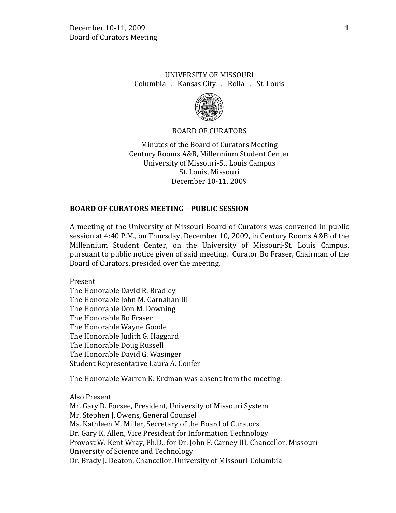# UNIVERSITY OF MISSOURI Columbia . Kansas City . Rolla . St. Louis



### BOARD OF CURATORS

Minutes of the Board of Curators Meeting Century Rooms A&B, Millennium Student Center University of Missouri-St. Louis Campus St. Louis, Missouri December 10-11, 2009

### **BOARD OF CURATORS MEETING – PUBLIC SESSION**

A meeting of the University of Missouri Board of Curators was convened in public session at 4:40 P.M., on Thursday, December 10, 2009, in Century Rooms A&B of the Millennium Student Center, on the University of Missouri-St. Louis Campus, pursuant to public notice given of said meeting. Curator Bo Fraser, Chairman of the Board of Curators, presided over the meeting.

Present

The Honorable David R. Bradley The Honorable John M. Carnahan III The Honorable Don M. Downing The Honorable Bo Fraser The Honorable Wayne Goode The Honorable Judith G. Haggard The Honorable Doug Russell The Honorable David G. Wasinger Student Representative Laura A. Confer

The Honorable Warren K. Erdman was absent from the meeting.

Also Present Mr. Gary D. Forsee, President, University of Missouri System Mr. Stephen J. Owens, General Counsel Ms. Kathleen M. Miller, Secretary of the Board of Curators Dr. Gary K. Allen, Vice President for Information Technology Provost W. Kent Wray, Ph.D., for Dr. John F. Carney III, Chancellor, Missouri University of Science and Technology Dr. Brady J. Deaton, Chancellor, University of Missouri-Columbia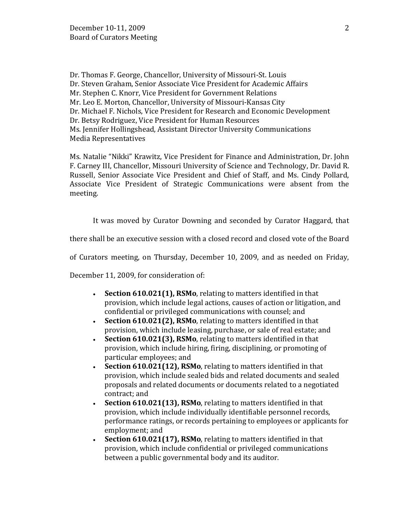Dr. Thomas F. George, Chancellor, University of Missouri-St. Louis Dr. Steven Graham, Senior Associate Vice President for Academic Affairs Mr. Stephen C. Knorr, Vice President for Government Relations Mr. Leo E. Morton, Chancellor, University of Missouri-Kansas City Dr. Michael F. Nichols, Vice President for Research and Economic Development Dr. Betsy Rodriguez, Vice President for Human Resources Ms. Jennifer Hollingshead, Assistant Director University Communications Media Representatives

Ms. Natalie "Nikki" Krawitz, Vice President for Finance and Administration, Dr. John F. Carney III, Chancellor, Missouri University of Science and Technology, Dr. David R. Russell, Senior Associate Vice President and Chief of Staff, and Ms. Cindy Pollard, Associate Vice President of Strategic Communications were absent from the meeting.

It was moved by Curator Downing and seconded by Curator Haggard, that

there shall be an executive session with a closed record and closed vote of the Board

of Curators meeting, on Thursday, December 10, 2009, and as needed on Friday,

December 11, 2009, for consideration of:

- **Section 610.021(1), RSMo**, relating to matters identified in that provision, which include legal actions, causes of action or litigation, and confidential or privileged communications with counsel; and
- **Section 610.021(2), RSMo**, relating to matters identified in that provision, which include leasing, purchase, or sale of real estate; and
- **Section 610.021(3), RSMo**, relating to matters identified in that provision, which include hiring, firing, disciplining, or promoting of particular employees; and
- **Section 610.021(12), RSMo**, relating to matters identified in that provision, which include sealed bids and related documents and sealed proposals and related documents or documents related to a negotiated contract; and
- **Section 610.021(13), RSMo**, relating to matters identified in that provision, which include individually identifiable personnel records, performance ratings, or records pertaining to employees or applicants for employment; and
- **Section 610.021(17), RSMo**, relating to matters identified in that provision, which include confidential or privileged communications between a public governmental body and its auditor.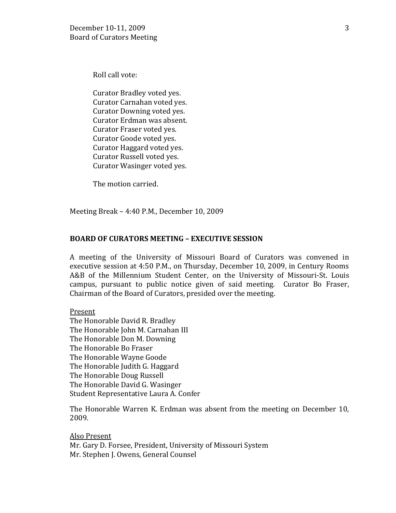Roll call vote:

Curator Bradley voted yes. Curator Carnahan voted yes. Curator Downing voted yes. Curator Erdman was absent. Curator Fraser voted yes. Curator Goode voted yes. Curator Haggard voted yes. Curator Russell voted yes. Curator Wasinger voted yes.

The motion carried.

Meeting Break – 4:40 P.M., December 10, 2009

## **BOARD OF CURATORS MEETING – EXECUTIVE SESSION**

A meeting of the University of Missouri Board of Curators was convened in executive session at 4:50 P.M., on Thursday, December 10, 2009, in Century Rooms A&B of the Millennium Student Center, on the University of Missouri-St. Louis campus, pursuant to public notice given of said meeting. Curator Bo Fraser, Chairman of the Board of Curators, presided over the meeting.

Present

The Honorable David R. Bradley The Honorable John M. Carnahan III The Honorable Don M. Downing The Honorable Bo Fraser The Honorable Wayne Goode The Honorable Judith G. Haggard The Honorable Doug Russell The Honorable David G. Wasinger Student Representative Laura A. Confer

The Honorable Warren K. Erdman was absent from the meeting on December 10, 2009.

Also Present Mr. Gary D. Forsee, President, University of Missouri System Mr. Stephen J. Owens, General Counsel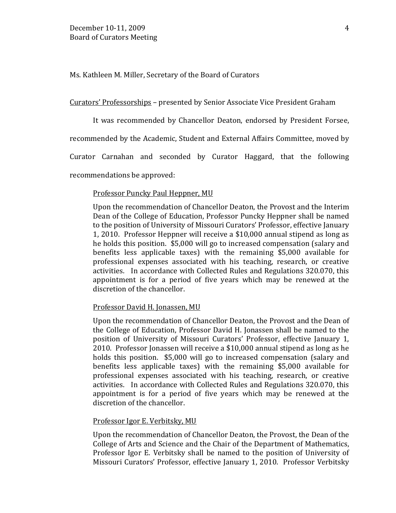Ms. Kathleen M. Miller, Secretary of the Board of Curators

Curators' Professorships – presented by Senior Associate Vice President Graham

It was recommended by Chancellor Deaton, endorsed by President Forsee,

recommended by the Academic, Student and External Affairs Committee, moved by

Curator Carnahan and seconded by Curator Haggard, that the following

recommendations be approved:

#### Professor Puncky Paul Heppner, MU

Upon the recommendation of Chancellor Deaton, the Provost and the Interim Dean of the College of Education, Professor Puncky Heppner shall be named to the position of University of Missouri Curators' Professor, effective January 1, 2010. Professor Heppner will receive a \$10,000 annual stipend as long as he holds this position. \$5,000 will go to increased compensation (salary and benefits less applicable taxes) with the remaining \$5,000 available for professional expenses associated with his teaching, research, or creative activities. In accordance with Collected Rules and Regulations 320.070, this appointment is for a period of five years which may be renewed at the discretion of the chancellor.

### Professor David H. Jonassen, MU

Upon the recommendation of Chancellor Deaton, the Provost and the Dean of the College of Education, Professor David H. Jonassen shall be named to the position of University of Missouri Curators' Professor, effective January 1, 2010. Professor Jonassen will receive a \$10,000 annual stipend as long as he holds this position. \$5,000 will go to increased compensation (salary and benefits less applicable taxes) with the remaining \$5,000 available for professional expenses associated with his teaching, research, or creative activities. In accordance with Collected Rules and Regulations 320.070, this appointment is for a period of five years which may be renewed at the discretion of the chancellor.

#### Professor Igor E. Verbitsky, MU

Upon the recommendation of Chancellor Deaton, the Provost, the Dean of the College of Arts and Science and the Chair of the Department of Mathematics, Professor Igor E. Verbitsky shall be named to the position of University of Missouri Curators' Professor, effective January 1, 2010. Professor Verbitsky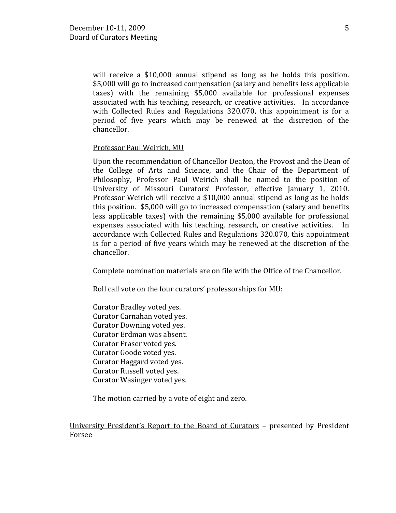will receive a \$10,000 annual stipend as long as he holds this position. \$5,000 will go to increased compensation (salary and benefits less applicable taxes) with the remaining \$5,000 available for professional expenses associated with his teaching, research, or creative activities. In accordance with Collected Rules and Regulations 320.070, this appointment is for a period of five years which may be renewed at the discretion of the chancellor.

## Professor Paul Weirich, MU

Upon the recommendation of Chancellor Deaton, the Provost and the Dean of the College of Arts and Science, and the Chair of the Department of Philosophy, Professor Paul Weirich shall be named to the position of University of Missouri Curators' Professor, effective January 1, 2010. Professor Weirich will receive a \$10,000 annual stipend as long as he holds this position. \$5,000 will go to increased compensation (salary and benefits less applicable taxes) with the remaining \$5,000 available for professional expenses associated with his teaching, research, or creative activities. In expenses associated with his teaching, research, or creative activities. accordance with Collected Rules and Regulations 320.070, this appointment is for a period of five years which may be renewed at the discretion of the chancellor.

Complete nomination materials are on file with the Office of the Chancellor.

Roll call vote on the four curators' professorships for MU:

Curator Bradley voted yes. Curator Carnahan voted yes. Curator Downing voted yes. Curator Erdman was absent. Curator Fraser voted yes. Curator Goode voted yes. Curator Haggard voted yes. Curator Russell voted yes. Curator Wasinger voted yes.

The motion carried by a vote of eight and zero.

University President's Report to the Board of Curators – presented by President Forsee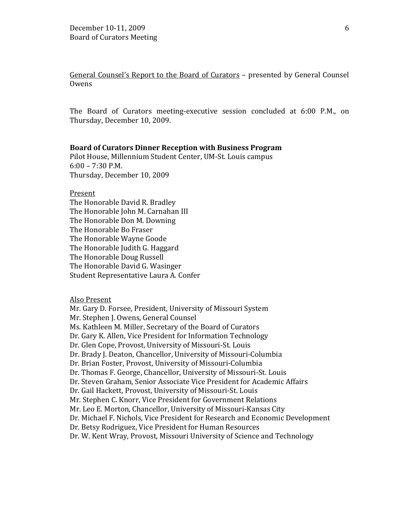General Counsel's Report to the Board of Curators – presented by General Counsel Owens

The Board of Curators meeting-executive session concluded at 6:00 P.M., on Thursday, December 10, 2009.

#### **Board of Curators Dinner Reception with Business Program**

Pilot House, Millennium Student Center, UM-St. Louis campus  $6:00 - 7:30$  P.M. Thursday, December 10, 2009

Present The Honorable David R. Bradley The Honorable John M. Carnahan III The Honorable Don M. Downing The Honorable Bo Fraser The Honorable Wayne Goode The Honorable Judith G. Haggard The Honorable Doug Russell The Honorable David G. Wasinger Student Representative Laura A. Confer

## Also Present

Mr. Gary D. Forsee, President, University of Missouri System Mr. Stephen J. Owens, General Counsel Ms. Kathleen M. Miller, Secretary of the Board of Curators Dr. Gary K. Allen, Vice President for Information Technology Dr. Glen Cope, Provost, University of Missouri-St. Louis Dr. Brady J. Deaton, Chancellor, University of Missouri-Columbia Dr. Brian Foster, Provost, University of Missouri-Columbia Dr. Thomas F. George, Chancellor, University of Missouri-St. Louis Dr. Steven Graham, Senior Associate Vice President for Academic Affairs Dr. Gail Hackett, Provost, University of Missouri-St. Louis Mr. Stephen C. Knorr, Vice President for Government Relations Mr. Leo E. Morton, Chancellor, University of Missouri-Kansas City Dr. Michael F. Nichols, Vice President for Research and Economic Development Dr. Betsy Rodriguez, Vice President for Human Resources Dr. W. Kent Wray, Provost, Missouri University of Science and Technology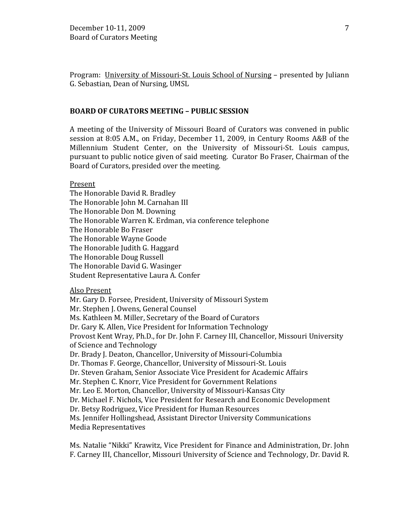Program: University of Missouri-St. Louis School of Nursing – presented by Juliann G. Sebastian, Dean of Nursing, UMSL

## **BOARD OF CURATORS MEETING – PUBLIC SESSION**

A meeting of the University of Missouri Board of Curators was convened in public session at 8:05 A.M., on Friday, December 11, 2009, in Century Rooms A&B of the Millennium Student Center, on the University of Missouri-St. Louis campus, pursuant to public notice given of said meeting. Curator Bo Fraser, Chairman of the Board of Curators, presided over the meeting.

Present

The Honorable David R. Bradley The Honorable John M. Carnahan III The Honorable Don M. Downing The Honorable Warren K. Erdman, via conference telephone The Honorable Bo Fraser The Honorable Wayne Goode The Honorable Judith G. Haggard The Honorable Doug Russell The Honorable David G. Wasinger Student Representative Laura A. Confer

Also Present

Mr. Gary D. Forsee, President, University of Missouri System Mr. Stephen J. Owens, General Counsel Ms. Kathleen M. Miller, Secretary of the Board of Curators Dr. Gary K. Allen, Vice President for Information Technology Provost Kent Wray, Ph.D., for Dr. John F. Carney III, Chancellor, Missouri University of Science and Technology Dr. Brady J. Deaton, Chancellor, University of Missouri-Columbia Dr. Thomas F. George, Chancellor, University of Missouri-St. Louis Dr. Steven Graham, Senior Associate Vice President for Academic Affairs Mr. Stephen C. Knorr, Vice President for Government Relations Mr. Leo E. Morton, Chancellor, University of Missouri-Kansas City Dr. Michael F. Nichols, Vice President for Research and Economic Development Dr. Betsy Rodriguez, Vice President for Human Resources Ms. Jennifer Hollingshead, Assistant Director University Communications Media Representatives

Ms. Natalie "Nikki" Krawitz, Vice President for Finance and Administration, Dr. John F. Carney III, Chancellor, Missouri University of Science and Technology, Dr. David R.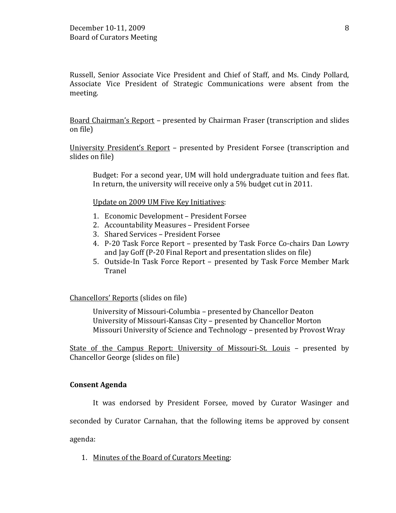Russell, Senior Associate Vice President and Chief of Staff, and Ms. Cindy Pollard, Associate Vice President of Strategic Communications were absent from the meeting.

Board Chairman's Report – presented by Chairman Fraser (transcription and slides on file)

University President's Report – presented by President Forsee (transcription and slides on file)

Budget: For a second year, UM will hold undergraduate tuition and fees flat. In return, the university will receive only a 5% budget cut in 2011.

Update on 2009 UM Five Key Initiatives:

- 1. Economic Development President Forsee
- 2. Accountability Measures President Forsee
- 3. Shared Services President Forsee
- 4. P-20 Task Force Report presented by Task Force Co-chairs Dan Lowry and Jay Goff (P-20 Final Report and presentation slides on file)
- 5. Outside-In Task Force Report presented by Task Force Member Mark Tranel

Chancellors' Reports (slides on file)

University of Missouri-Columbia – presented by Chancellor Deaton University of Missouri-Kansas City – presented by Chancellor Morton Missouri University of Science and Technology – presented by Provost Wray

State of the Campus Report: University of Missouri-St. Louis – presented by Chancellor George (slides on file)

### **Consent Agenda**

It was endorsed by President Forsee, moved by Curator Wasinger and

seconded by Curator Carnahan, that the following items be approved by consent

agenda:

1. Minutes of the Board of Curators Meeting: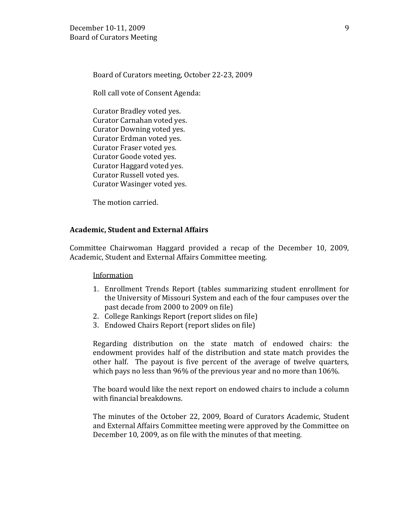Board of Curators meeting, October 22-23, 2009

Roll call vote of Consent Agenda:

Curator Bradley voted yes. Curator Carnahan voted yes. Curator Downing voted yes. Curator Erdman voted yes. Curator Fraser voted yes. Curator Goode voted yes. Curator Haggard voted yes. Curator Russell voted yes. Curator Wasinger voted yes.

The motion carried.

### **Academic, Student and External Affairs**

Committee Chairwoman Haggard provided a recap of the December 10, 2009, Academic, Student and External Affairs Committee meeting.

### **Information**

- 1. Enrollment Trends Report (tables summarizing student enrollment for the University of Missouri System and each of the four campuses over the past decade from 2000 to 2009 on file)
- 2. College Rankings Report (report slides on file)
- 3. Endowed Chairs Report (report slides on file)

Regarding distribution on the state match of endowed chairs: the endowment provides half of the distribution and state match provides the other half. The payout is five percent of the average of twelve quarters, which pays no less than 96% of the previous year and no more than 106%.

The board would like the next report on endowed chairs to include a column with financial breakdowns.

The minutes of the October 22, 2009, Board of Curators Academic, Student and External Affairs Committee meeting were approved by the Committee on December 10, 2009, as on file with the minutes of that meeting.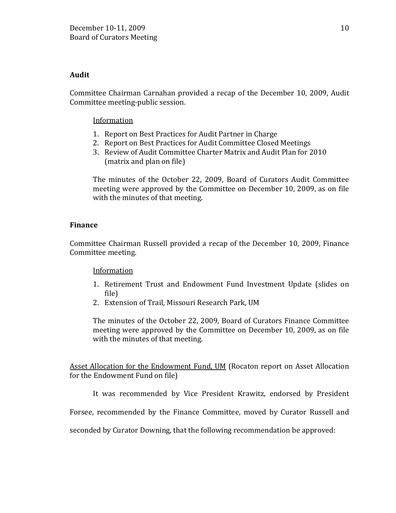## **Audit**

Committee Chairman Carnahan provided a recap of the December 10, 2009, Audit Committee meeting-public session.

## Information

- 1. Report on Best Practices for Audit Partner in Charge
- 2. Report on Best Practices for Audit Committee Closed Meetings
- 3. Review of Audit Committee Charter Matrix and Audit Plan for 2010 (matrix and plan on file)

The minutes of the October 22, 2009, Board of Curators Audit Committee meeting were approved by the Committee on December 10, 2009, as on file with the minutes of that meeting.

## **Finance**

Committee Chairman Russell provided a recap of the December 10, 2009, Finance Committee meeting.

## Information

- 1. Retirement Trust and Endowment Fund Investment Update (slides on file)
- 2. Extension of Trail, Missouri Research Park, UM

The minutes of the October 22, 2009, Board of Curators Finance Committee meeting were approved by the Committee on December 10, 2009, as on file with the minutes of that meeting.

**Asset Allocation for the Endowment Fund, UM (Rocaton report on Asset Allocation** for the Endowment Fund on file)

It was recommended by Vice President Krawitz, endorsed by President

Forsee, recommended by the Finance Committee, moved by Curator Russell and

seconded by Curator Downing, that the following recommendation be approved: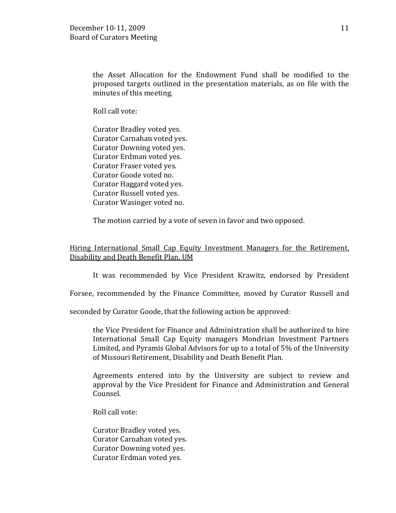the Asset Allocation for the Endowment Fund shall be modified to the proposed targets outlined in the presentation materials, as on file with the minutes of this meeting.

Roll call vote:

Curator Bradley voted yes. Curator Carnahan voted yes. Curator Downing voted yes. Curator Erdman voted yes. Curator Fraser voted yes. Curator Goode voted no. Curator Haggard voted yes. Curator Russell voted yes. Curator Wasinger voted no.

The motion carried by a vote of seven in favor and two opposed.

Hiring International Small Cap Equity Investment Managers for the Retirement, Disability and Death Benefit Plan, UM

It was recommended by Vice President Krawitz, endorsed by President

Forsee, recommended by the Finance Committee, moved by Curator Russell and

seconded by Curator Goode, that the following action be approved:

the Vice President for Finance and Administration shall be authorized to hire International Small Cap Equity managers Mondrian Investment Partners Limited, and Pyramis Global Advisors for up to a total of 5% of the University of Missouri Retirement, Disability and Death Benefit Plan.

Agreements entered into by the University are subject to review and approval by the Vice President for Finance and Administration and General Counsel.

Roll call vote:

Curator Bradley voted yes. Curator Carnahan voted yes. Curator Downing voted yes. Curator Erdman voted yes.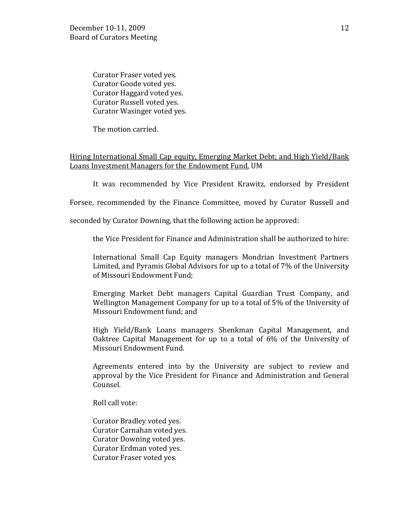Curator Fraser voted yes. Curator Goode voted yes. Curator Haggard voted yes. Curator Russell voted yes. Curator Wasinger voted yes.

The motion carried.

# Hiring International Small Cap equity, Emerging Market Debt; and High Yield/Bank Loans Investment Managers for the Endowment Fund, UM

It was recommended by Vice President Krawitz, endorsed by President

Forsee, recommended by the Finance Committee, moved by Curator Russell and

seconded by Curator Downing, that the following action be approved:

the Vice President for Finance and Administration shall be authorized to hire:

International Small Cap Equity managers Mondrian Investment Partners Limited, and Pyramis Global Advisors for up to a total of 7% of the University of Missouri Endowment Fund;

Emerging Market Debt managers Capital Guardian Trust Company, and Wellington Management Company for up to a total of 5% of the University of Missouri Endowment fund; and

High Yield/Bank Loans managers Shenkman Capital Management, and Oaktree Capital Management for up to a total of 6% of the University of Missouri Endowment Fund.

Agreements entered into by the University are subject to review and approval by the Vice President for Finance and Administration and General Counsel.

Roll call vote:

Curator Bradley voted yes. Curator Carnahan voted yes. Curator Downing voted yes. Curator Erdman voted yes. Curator Fraser voted yes.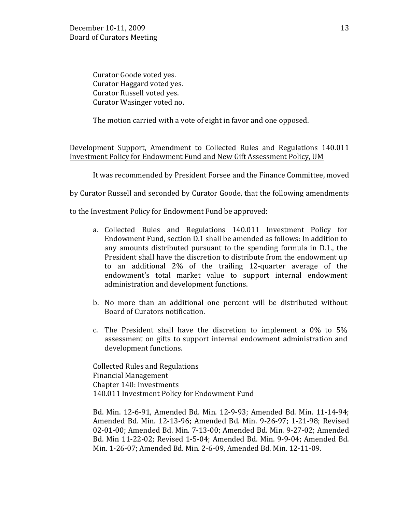Curator Goode voted yes. Curator Haggard voted yes. Curator Russell voted yes. Curator Wasinger voted no.

The motion carried with a vote of eight in favor and one opposed.

Development Support, Amendment to Collected Rules and Regulations 140.011 Investment Policy for Endowment Fund and New Gift Assessment Policy, UM

It was recommended by President Forsee and the Finance Committee, moved

by Curator Russell and seconded by Curator Goode, that the following amendments

to the Investment Policy for Endowment Fund be approved:

- a. Collected Rules and Regulations 140.011 Investment Policy for Endowment Fund, section D.1 shall be amended as follows: In addition to any amounts distributed pursuant to the spending formula in D.1., the President shall have the discretion to distribute from the endowment up to an additional 2% of the trailing 12-quarter average of the endowment's total market value to support internal endowment administration and development functions.
- b. No more than an additional one percent will be distributed without Board of Curators notification.
- c. The President shall have the discretion to implement a 0% to 5% assessment on gifts to support internal endowment administration and development functions.

Collected Rules and Regulations Financial Management Chapter 140: Investments 140.011 Investment Policy for Endowment Fund

Bd. Min. 12-6-91, Amended Bd. Min. 12-9-93; Amended Bd. Min. 11-14-94; Amended Bd. Min. 12-13-96; Amended Bd. Min. 9-26-97; 1-21-98; Revised 02-01-00; Amended Bd. Min. 7-13-00; Amended Bd. Min. 9-27-02; Amended Bd. Min 11-22-02; Revised 1-5-04; Amended Bd. Min. 9-9-04; Amended Bd. Min. 1-26-07; Amended Bd. Min. 2-6-09, Amended Bd. Min. 12-11-09.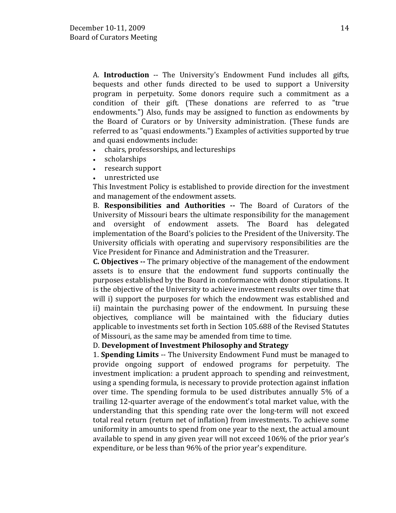A. **Introduction** -- The University's Endowment Fund includes all gifts, bequests and other funds directed to be used to support a University program in perpetuity. Some donors require such a commitment as a condition of their gift. (These donations are referred to as "true endowments.") Also, funds may be assigned to function as endowments by the Board of Curators or by University administration. (These funds are referred to as "quasi endowments.") Examples of activities supported by true and quasi endowments include:

- chairs, professorships, and lectureships
- scholarships
- research support
- unrestricted use

This Investment Policy is established to provide direction for the investment and management of the endowment assets.

B. **Responsibilities and Authorities --** The Board of Curators of the University of Missouri bears the ultimate responsibility for the management and oversight of endowment assets. The Board has delegated implementation of the Board's policies to the President of the University. The University officials with operating and supervisory responsibilities are the Vice President for Finance and Administration and the Treasurer.

**C. Objectives --** The primary objective of the management of the endowment assets is to ensure that the endowment fund supports continually the purposes established by the Board in conformance with donor stipulations. It is the objective of the University to achieve investment results over time that will i) support the purposes for which the endowment was established and ii) maintain the purchasing power of the endowment. In pursuing these objectives, compliance will be maintained with the fiduciary duties applicable to investments set forth in Section 105.688 of the Revised Statutes of Missouri, as the same may be amended from time to time.

# D. **Development of Investment Philosophy and Strategy**

1. **Spending Limits** -- The University Endowment Fund must be managed to provide ongoing support of endowed programs for perpetuity. The investment implication: a prudent approach to spending and reinvestment, using a spending formula, is necessary to provide protection against inflation over time. The spending formula to be used distributes annually 5% of a trailing 12-quarter average of the endowment's total market value, with the understanding that this spending rate over the long-term will not exceed total real return (return net of inflation) from investments. To achieve some uniformity in amounts to spend from one year to the next, the actual amount available to spend in any given year will not exceed 106% of the prior year's expenditure, or be less than 96% of the prior year's expenditure.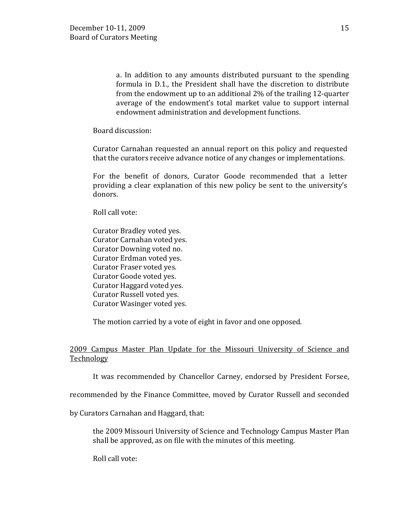a. In addition to any amounts distributed pursuant to the spending formula in D.1., the President shall have the discretion to distribute from the endowment up to an additional 2% of the trailing 12-quarter average of the endowment's total market value to support internal endowment administration and development functions.

Board discussion:

Curator Carnahan requested an annual report on this policy and requested that the curators receive advance notice of any changes or implementations.

For the benefit of donors, Curator Goode recommended that a letter providing a clear explanation of this new policy be sent to the university's donors.

Roll call vote:

Curator Bradley voted yes. Curator Carnahan voted yes. Curator Downing voted no. Curator Erdman voted yes. Curator Fraser voted yes. Curator Goode voted yes. Curator Haggard voted yes. Curator Russell voted yes. Curator Wasinger voted yes.

The motion carried by a vote of eight in favor and one opposed.

# 2009 Campus Master Plan Update for the Missouri University of Science and Technology

It was recommended by Chancellor Carney, endorsed by President Forsee,

recommended by the Finance Committee, moved by Curator Russell and seconded

by Curators Carnahan and Haggard, that:

the 2009 Missouri University of Science and Technology Campus Master Plan shall be approved, as on file with the minutes of this meeting.

Roll call vote: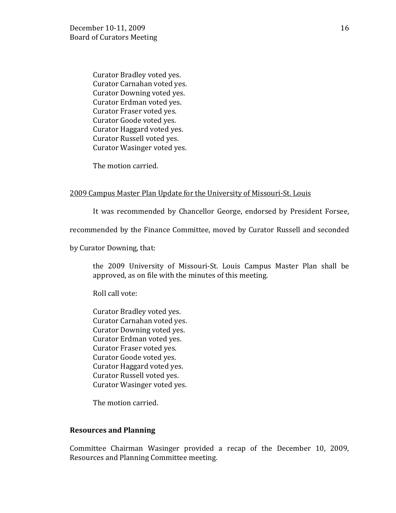Curator Bradley voted yes. Curator Carnahan voted yes. Curator Downing voted yes. Curator Erdman voted yes. Curator Fraser voted yes. Curator Goode voted yes. Curator Haggard voted yes. Curator Russell voted yes. Curator Wasinger voted yes.

The motion carried.

## 2009 Campus Master Plan Update for the University of Missouri-St. Louis

It was recommended by Chancellor George, endorsed by President Forsee,

recommended by the Finance Committee, moved by Curator Russell and seconded

by Curator Downing, that:

the 2009 University of Missouri-St. Louis Campus Master Plan shall be approved, as on file with the minutes of this meeting.

Roll call vote:

Curator Bradley voted yes. Curator Carnahan voted yes. Curator Downing voted yes. Curator Erdman voted yes. Curator Fraser voted yes. Curator Goode voted yes. Curator Haggard voted yes. Curator Russell voted yes. Curator Wasinger voted yes.

The motion carried.

### **Resources and Planning**

Committee Chairman Wasinger provided a recap of the December 10, 2009, Resources and Planning Committee meeting.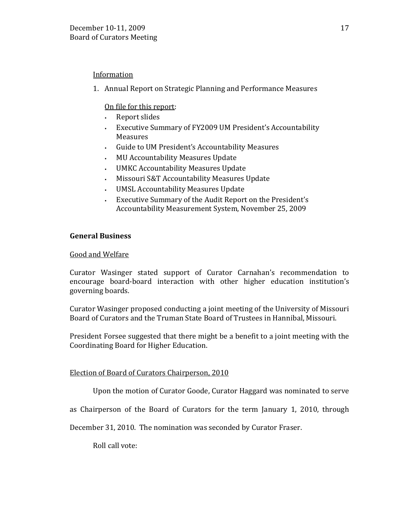# Information

1. Annual Report on Strategic Planning and Performance Measures

# On file for this report:

- Report slides
- Executive Summary of FY2009 UM President's Accountability Measures
- Guide to UM President's Accountability Measures
- MU Accountability Measures Update
- UMKC Accountability Measures Update
- Missouri S&T Accountability Measures Update
- UMSL Accountability Measures Update
- Executive Summary of the Audit Report on the President's Accountability Measurement System, November 25, 2009

# **General Business**

# Good and Welfare

Curator Wasinger stated support of Curator Carnahan's recommendation to encourage board-board interaction with other higher education institution's governing boards.

Curator Wasinger proposed conducting a joint meeting of the University of Missouri Board of Curators and the Truman State Board of Trustees in Hannibal, Missouri.

President Forsee suggested that there might be a benefit to a joint meeting with the Coordinating Board for Higher Education.

# Election of Board of Curators Chairperson, 2010

Upon the motion of Curator Goode, Curator Haggard was nominated to serve

as Chairperson of the Board of Curators for the term January 1, 2010, through

December 31, 2010. The nomination was seconded by Curator Fraser.

Roll call vote: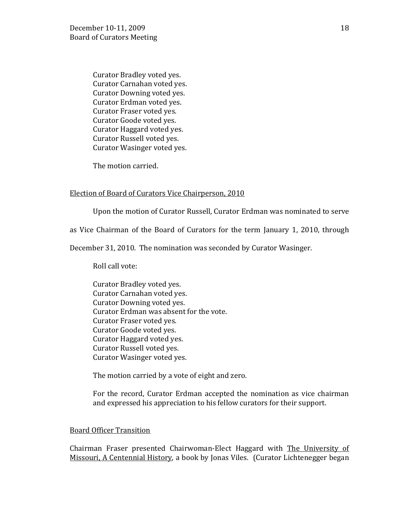Curator Bradley voted yes. Curator Carnahan voted yes. Curator Downing voted yes. Curator Erdman voted yes. Curator Fraser voted yes. Curator Goode voted yes. Curator Haggard voted yes. Curator Russell voted yes. Curator Wasinger voted yes.

The motion carried.

### Election of Board of Curators Vice Chairperson, 2010

Upon the motion of Curator Russell, Curator Erdman was nominated to serve

as Vice Chairman of the Board of Curators for the term January 1, 2010, through

December 31, 2010. The nomination was seconded by Curator Wasinger.

Roll call vote:

Curator Bradley voted yes. Curator Carnahan voted yes. Curator Downing voted yes. Curator Erdman was absent for the vote. Curator Fraser voted yes. Curator Goode voted yes. Curator Haggard voted yes. Curator Russell voted yes. Curator Wasinger voted yes.

The motion carried by a vote of eight and zero.

For the record, Curator Erdman accepted the nomination as vice chairman and expressed his appreciation to his fellow curators for their support.

### Board Officer Transition

Chairman Fraser presented Chairwoman-Elect Haggard with The University of Missouri, A Centennial History, a book by Jonas Viles. (Curator Lichtenegger began